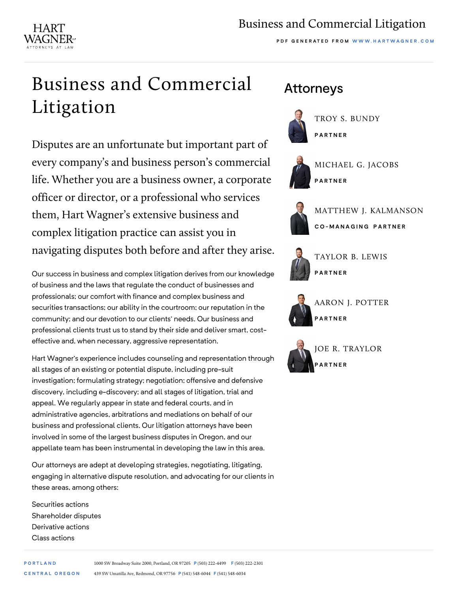## Business and Commercial Litigation

**PDF G ENERATED FROM WWW.HARTWAGNER.COM**

## Business and Commercial Litigation

HART

Disputes are an unfortunate but important part of every company's and business person's commercial life. Whether you are a business owner, a corporate officer or director, or a professional who services them, Hart Wagner's extensive business and complex litigation practice can assist you in navigating disputes both before and after they arise.

Our success in business and complex litigation derives from our knowledge of business and the laws that regulate the conduct of businesses and professionals; our comfort with finance and complex business and securities transactions; our ability in the courtroom; our reputation in the community; and our devotion to our clients' needs. Our business and professional clients trust us to stand by their side and deliver smart, costeffective and, when necessary, aggressive representation.

Hart Wagner's experience includes counseling and representation through all stages of an existing or potential dispute, including pre-suit investigation; formulating strategy; negotiation; offensive and defensive discovery, including e-discovery; and all stages of litigation, trial and appeal. We regularly appear in state and federal courts, and in administrative agencies, arbitrations and mediations on behalf of our business and professional clients. Our litigation attorneys have been involved in some of the largest business disputes in Oregon, and our appellate team has been instrumental in developing the law in this area.

Our attorneys are adept at developing strategies, negotiating, litigating, engaging in alternative dispute resolution, and advocating for our clients in these areas, among others:

Securities actions Shareholder disputes Derivative actions Class actions

## Attorneys



[TROY S. BUNDY](https://hartwagner.com/troy-s-bundy/) **PARTNER**



[MICHAEL G. JACOBS](https://hartwagner.com/michael-g-jacobs/) **PARTNER**



[MATTHEW J. KALMANSON](https://hartwagner.com/matthew-j-kalmanson/) **CO-MANAGING PARTNER**



[TAYLOR B. LEWIS](https://hartwagner.com/taylor-lewis/) **PARTNER**



[AARON J. POTTER](https://hartwagner.com/aaron-j-potter/) **PARTNER**



[JOE R. TRAYLOR](https://hartwagner.com/joe-traylor/) **PARTNER**